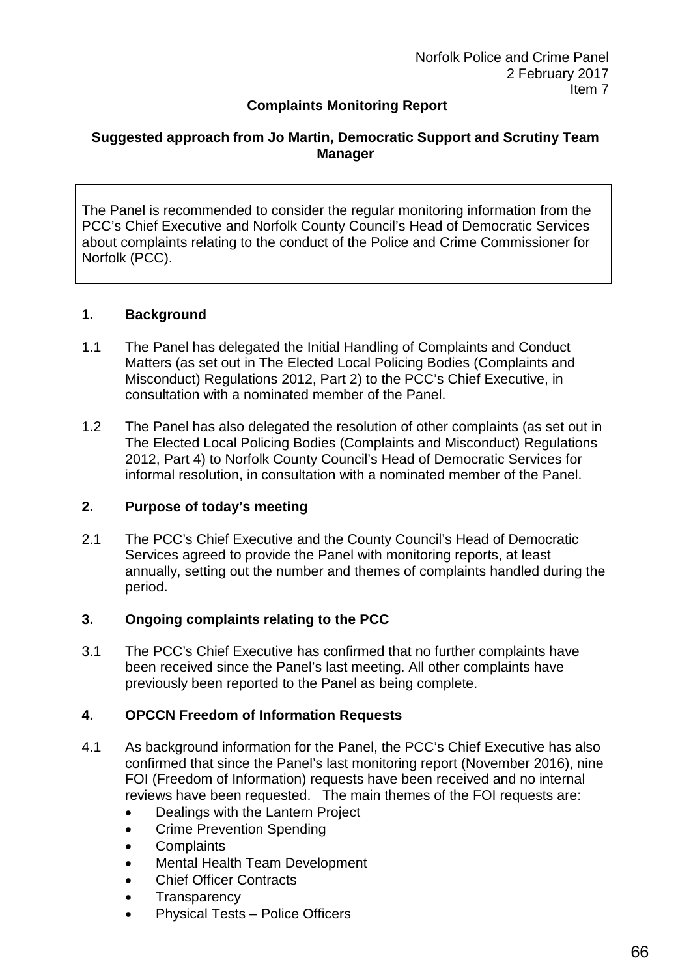# **Complaints Monitoring Report**

### **Suggested approach from Jo Martin, Democratic Support and Scrutiny Team Manager**

The Panel is recommended to consider the regular monitoring information from the PCC's Chief Executive and Norfolk County Council's Head of Democratic Services about complaints relating to the conduct of the Police and Crime Commissioner for Norfolk (PCC).

#### **1. Background**

- 1.1 The Panel has delegated the Initial Handling of Complaints and Conduct Matters (as set out in The Elected Local Policing Bodies (Complaints and Misconduct) Regulations 2012, Part 2) to the PCC's Chief Executive, in consultation with a nominated member of the Panel.
- 1.2 The Panel has also delegated the resolution of other complaints (as set out in The Elected Local Policing Bodies (Complaints and Misconduct) Regulations 2012, Part 4) to Norfolk County Council's Head of Democratic Services for informal resolution, in consultation with a nominated member of the Panel.

#### **2. Purpose of today's meeting**

2.1 The PCC's Chief Executive and the County Council's Head of Democratic Services agreed to provide the Panel with monitoring reports, at least annually, setting out the number and themes of complaints handled during the period.

#### **3. Ongoing complaints relating to the PCC**

3.1 The PCC's Chief Executive has confirmed that no further complaints have been received since the Panel's last meeting. All other complaints have previously been reported to the Panel as being complete.

### **4. OPCCN Freedom of Information Requests**

- 4.1 As background information for the Panel, the PCC's Chief Executive has also confirmed that since the Panel's last monitoring report (November 2016), nine FOI (Freedom of Information) requests have been received and no internal reviews have been requested. The main themes of the FOI requests are:
	- Dealings with the Lantern Project
	- Crime Prevention Spending
	- **Complaints**
	- Mental Health Team Development
	- **Chief Officer Contracts**
	- **Transparency**
	- Physical Tests Police Officers